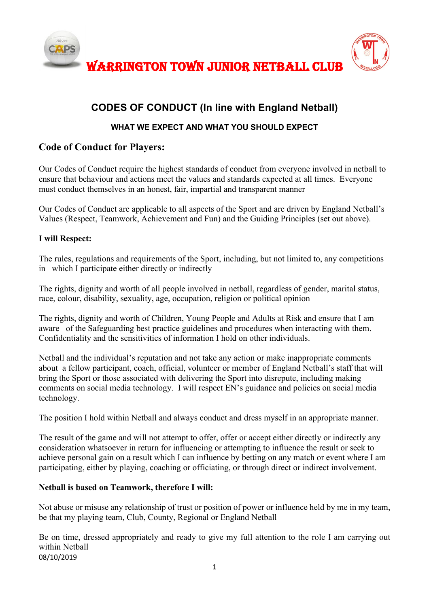

WARRINGTON TOWN JUNIOR NETBALL CLUB



# **CODES OF CONDUCT (In line with England Netball)**

### **WHAT WE EXPECT AND WHAT YOU SHOULD EXPECT**

### **Code of Conduct for Players:**

Our Codes of Conduct require the highest standards of conduct from everyone involved in netball to ensure that behaviour and actions meet the values and standards expected at all times. Everyone must conduct themselves in an honest, fair, impartial and transparent manner

Our Codes of Conduct are applicable to all aspects of the Sport and are driven by England Netball's Values (Respect, Teamwork, Achievement and Fun) and the Guiding Principles (set out above).

#### **I will Respect:**

The rules, regulations and requirements of the Sport, including, but not limited to, any competitions in which I participate either directly or indirectly

The rights, dignity and worth of all people involved in netball, regardless of gender, marital status, race, colour, disability, sexuality, age, occupation, religion or political opinion

The rights, dignity and worth of Children, Young People and Adults at Risk and ensure that I am aware of the Safeguarding best practice guidelines and procedures when interacting with them. Confidentiality and the sensitivities of information I hold on other individuals.

Netball and the individual's reputation and not take any action or make inappropriate comments about a fellow participant, coach, official, volunteer or member of England Netball's staff that will bring the Sport or those associated with delivering the Sport into disrepute, including making comments on social media technology. I will respect EN's guidance and policies on social media technology.

The position I hold within Netball and always conduct and dress myself in an appropriate manner.

The result of the game and will not attempt to offer, offer or accept either directly or indirectly any consideration whatsoever in return for influencing or attempting to influence the result or seek to achieve personal gain on a result which I can influence by betting on any match or event where I am participating, either by playing, coaching or officiating, or through direct or indirect involvement.

#### **Netball is based on Teamwork, therefore I will:**

Not abuse or misuse any relationship of trust or position of power or influence held by me in my team, be that my playing team, Club, County, Regional or England Netball

08/10/2019 Be on time, dressed appropriately and ready to give my full attention to the role I am carrying out within Netball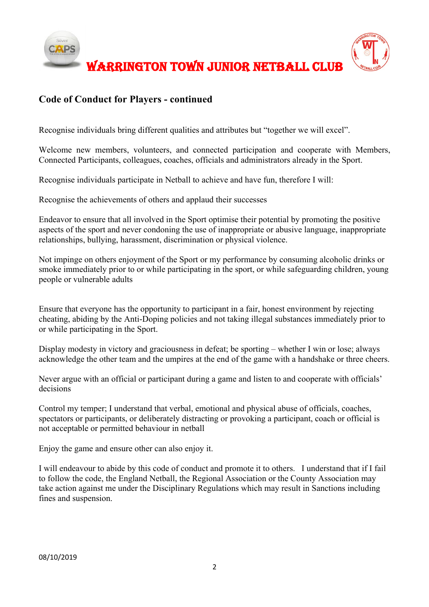

## **Code of Conduct for Players - continued**

Recognise individuals bring different qualities and attributes but "together we will excel".

Welcome new members, volunteers, and connected participation and cooperate with Members, Connected Participants, colleagues, coaches, officials and administrators already in the Sport.

Recognise individuals participate in Netball to achieve and have fun, therefore I will:

Recognise the achievements of others and applaud their successes

Endeavor to ensure that all involved in the Sport optimise their potential by promoting the positive aspects of the sport and never condoning the use of inappropriate or abusive language, inappropriate relationships, bullying, harassment, discrimination or physical violence.

Not impinge on others enjoyment of the Sport or my performance by consuming alcoholic drinks or smoke immediately prior to or while participating in the sport, or while safeguarding children, young people or vulnerable adults

Ensure that everyone has the opportunity to participant in a fair, honest environment by rejecting cheating, abiding by the Anti-Doping policies and not taking illegal substances immediately prior to or while participating in the Sport.

Display modesty in victory and graciousness in defeat; be sporting – whether I win or lose; always acknowledge the other team and the umpires at the end of the game with a handshake or three cheers.

Never argue with an official or participant during a game and listen to and cooperate with officials' decisions

Control my temper; I understand that verbal, emotional and physical abuse of officials, coaches, spectators or participants, or deliberately distracting or provoking a participant, coach or official is not acceptable or permitted behaviour in netball

Enjoy the game and ensure other can also enjoy it.

I will endeavour to abide by this code of conduct and promote it to others. I understand that if I fail to follow the code, the England Netball, the Regional Association or the County Association may take action against me under the Disciplinary Regulations which may result in Sanctions including fines and suspension.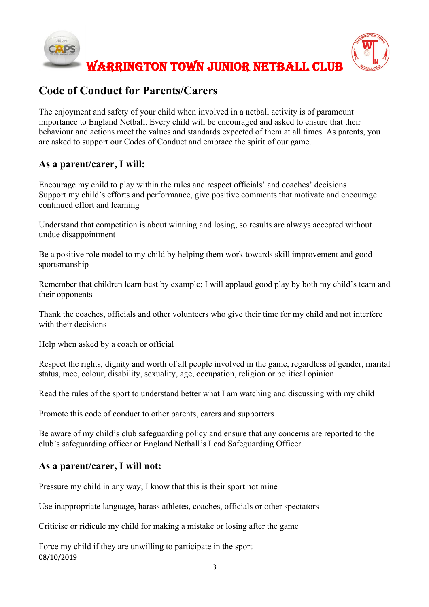

# **Code of Conduct for Parents/Carers**

The enjoyment and safety of your child when involved in a netball activity is of paramount importance to England Netball. Every child will be encouraged and asked to ensure that their behaviour and actions meet the values and standards expected of them at all times. As parents, you are asked to support our Codes of Conduct and embrace the spirit of our game.

## **As a parent/carer, I will:**

Encourage my child to play within the rules and respect officials' and coaches' decisions Support my child's efforts and performance, give positive comments that motivate and encourage continued effort and learning

Understand that competition is about winning and losing, so results are always accepted without undue disappointment

Be a positive role model to my child by helping them work towards skill improvement and good sportsmanship

Remember that children learn best by example; I will applaud good play by both my child's team and their opponents

Thank the coaches, officials and other volunteers who give their time for my child and not interfere with their decisions

Help when asked by a coach or official

Respect the rights, dignity and worth of all people involved in the game, regardless of gender, marital status, race, colour, disability, sexuality, age, occupation, religion or political opinion

Read the rules of the sport to understand better what I am watching and discussing with my child

Promote this code of conduct to other parents, carers and supporters

Be aware of my child's club safeguarding policy and ensure that any concerns are reported to the club's safeguarding officer or England Netball's Lead Safeguarding Officer.

## **As a parent/carer, I will not:**

Pressure my child in any way; I know that this is their sport not mine

Use inappropriate language, harass athletes, coaches, officials or other spectators

Criticise or ridicule my child for making a mistake or losing after the game

08/10/2019 Force my child if they are unwilling to participate in the sport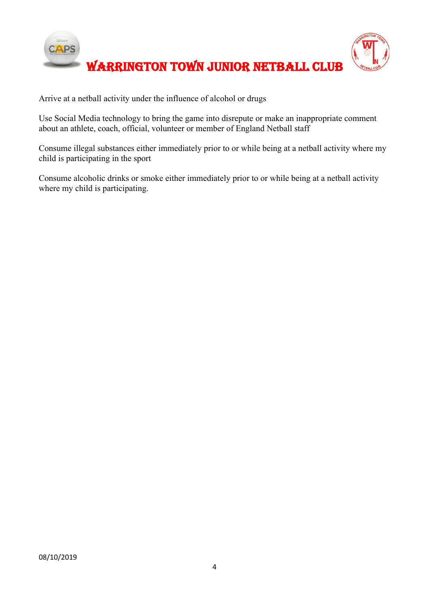

Arrive at a netball activity under the influence of alcohol or drugs

Use Social Media technology to bring the game into disrepute or make an inappropriate comment about an athlete, coach, official, volunteer or member of England Netball staff

Consume illegal substances either immediately prior to or while being at a netball activity where my child is participating in the sport

Consume alcoholic drinks or smoke either immediately prior to or while being at a netball activity where my child is participating.